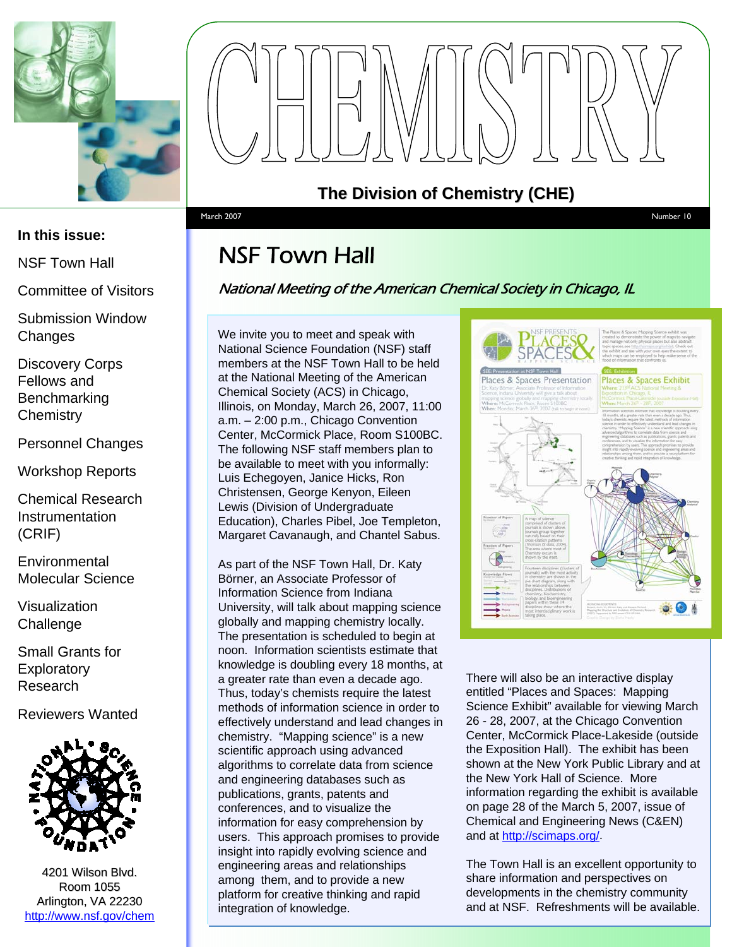



NSF Town Hall

Committee of Visitors

Submission Window **Changes** 

Discovery Corps Fellows and Benchmarking **Chemistry** 

Personnel Changes

Workshop Reports

Chemical Research **Instrumentation** (CRIF)

**Environmental** Molecular Science

Visualization **Challenge** 

Small Grants for **Exploratory** Research

Reviewers Wanted



4201 Wilson Blvd. Room 1055 Arlington, VA 22230 <http://www.nsf.gov/chem>



**The Division of Chemistry (CHE) The Division of Chemistry (CHE)**

#### March 2007 Number 10

## NSF Town Hall

#### National Meeting of the American Chemical Society in Chicago, IL

We invite you to meet and speak with National Science Foundation (NSF) staff members at the NSF Town Hall to be held at the National Meeting of the American Chemical Society (ACS) in Chicago, Illinois, on Monday, March 26, 2007, 11:00 a.m. – 2:00 p.m., Chicago Convention Center, McCormick Place, Room S100BC. The following NSF staff members plan to be available to meet with you informally: Luis Echegoyen, Janice Hicks, Ron Christensen, George Kenyon, Eileen Lewis (Division of Undergraduate Education), Charles Pibel, Joe Templeton, Margaret Cavanaugh, and Chantel Sabus.

As part of the NSF Town Hall, Dr. Katy Börner, an Associate Professor of Information Science from Indiana University, will talk about mapping science globally and mapping chemistry locally. The presentation is scheduled to begin at noon. Information scientists estimate that knowledge is doubling every 18 months, at a greater rate than even a decade ago. Thus, today's chemists require the latest methods of information science in order to effectively understand and lead changes in chemistry. "Mapping science" is a new scientific approach using advanced algorithms to correlate data from science and engineering databases such as publications, grants, patents and conferences, and to visualize the information for easy comprehension by users. This approach promises to provide insight into rapidly evolving science and engineering areas and relationships among them, and to provide a new platform for creative thinking and rapid integration of knowledge.



There will also be an interactive display entitled "Places and Spaces: Mapping Science Exhibit" available for viewing March 26 - 28, 2007, at the Chicago Convention Center, McCormick Place-Lakeside (outside the Exposition Hall). The exhibit has been shown at the New York Public Library and at the New York Hall of Science. More information regarding the exhibit is available on page 28 of the March 5, 2007, issue of Chemical and Engineering News (C&EN) and at [http://scimaps.org/.](http://scimaps.org/)

The Town Hall is an excellent opportunity to share information and perspectives on developments in the chemistry community and at NSF. Refreshments will be available.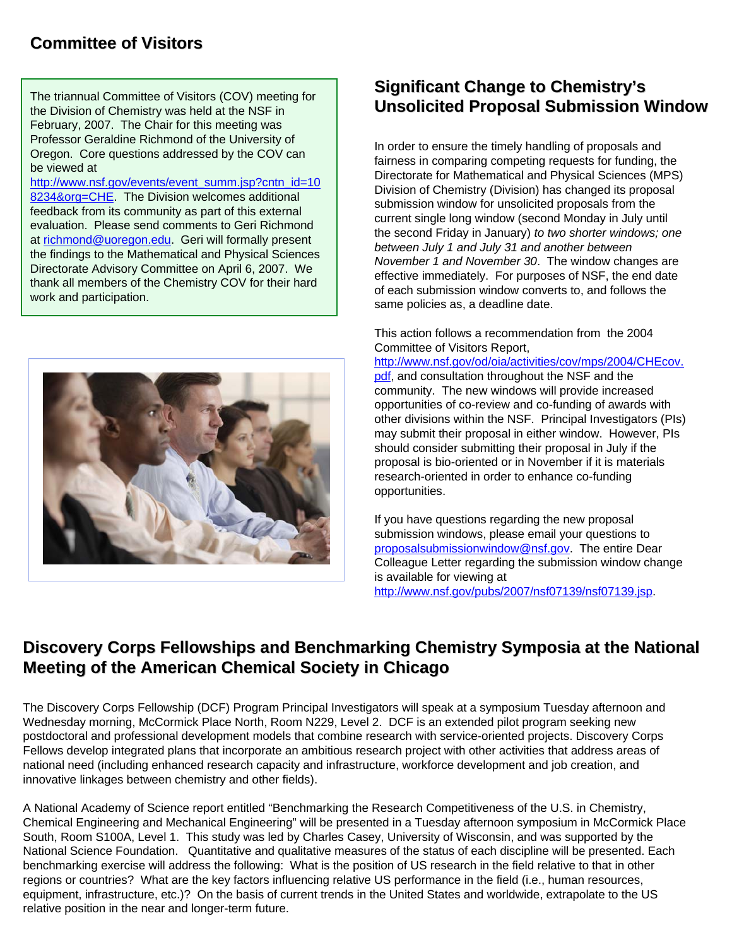#### **Committee of Visitors**

February, 2007. The Chair for this meeting was Professor Geraldine Richmond of the University of Oregon. Core questions addressed by the COV can be viewed at

[http://www.nsf.gov/events/event\\_summ.jsp?cntn\\_id=10](http://www.nsf.gov/events/event_summ.jsp?cntn_id=108234&org=CHE) 8234&org=CHE. The Division welcomes additional feedback from its community as part of this external evaluation. Please send comments to Geri Richmond at [richmond@uoregon.edu.](mailto:richmond@uoregon.edu) Geri will formally present the findings to the Mathematical and Physical Sciences Directorate Advisory Committee on April 6, 2007. We thank all members of the Chemistry COV for their hard work and participation.



#### **Significant Change to Chemistry's** Significant Change to Chemistry's the Division of Chemistry was held at the NSF in **Unsolicited Proposal Submission Window Unsolicited Proposal Window**

In order to ensure the timely handling of proposals and fairness in comparing competing requests for funding, the Directorate for Mathematical and Physical Sciences (MPS) Division of Chemistry (Division) has changed its proposal submission window for unsolicited proposals from the current single long window (second Monday in July until the second Friday in January) *to two shorter windows; one between July 1 and July 31 and another between November 1 and November 30*. The window changes are effective immediately. For purposes of NSF, the end date of each submission window converts to, and follows the same policies as, a deadline date.

This action follows a recommendation from the 2004 Committee of Visitors Report,

[http://www.nsf.gov/od/oia/activities/cov/mps/2004/CHEcov.](http://www.nsf.gov/od/oia/activities/cov/mps/2004/CHEcov.pdf) pdf, and consultation throughout the NSF and the community. The new windows will provide increased opportunities of co-review and co-funding of awards with other divisions within the NSF. Principal Investigators (PIs) may submit their proposal in either window. However, PIs should consider submitting their proposal in July if the proposal is bio-oriented or in November if it is materials research-oriented in order to enhance co-funding opportunities.

If you have questions regarding the new proposal submission windows, please email your questions to [proposalsubmissionwindow@nsf.gov.](mailto:proposalsubmissionwindow@nsf.gov) The entire Dear Colleague Letter regarding the submission window change is available for viewing at [http://www.nsf.gov/pubs/2007/nsf07139/nsf07139.jsp.](http://www.nsf.gov/pubs/2007/nsf07139/nsf07139.jsp) 

#### **Discovery Corps Fellowships and Discovery Corps Fellowships and Benchmarking Chemistry Symposia Benchmarking Chemistry Symposia at the Nation e National Meeting of the American Chemical Society in Chicago**

The Discovery Corps Fellowship (DCF) Program Principal Investigators will speak at a symposium Tuesday afternoon and Wednesday morning, McCormick Place North, Room N229, Level 2. DCF is an extended pilot program seeking new postdoctoral and professional development models that combine research with service-oriented projects. Discovery Corps Fellows develop integrated plans that incorporate an ambitious research project with other activities that address areas of national need (including enhanced research capacity and infrastructure, workforce development and job creation, and innovative linkages between chemistry and other fields).

A National Academy of Science report entitled "Benchmarking the Research Competitiveness of the U.S. in Chemistry, Chemical Engineering and Mechanical Engineering" will be presented in a Tuesday afternoon symposium in McCormick Place South, Room S100A, Level 1. This study was led by Charles Casey, University of Wisconsin, and was supported by the National Science Foundation. Quantitative and qualitative measures of the status of each discipline will be presented. Each benchmarking exercise will address the following: What is the position of US research in the field relative to that in other regions or countries? What are the key factors influencing relative US performance in the field (i.e., human resources, equipment, infrastructure, etc.)? On the basis of current trends in the United States and worldwide, extrapolate to the US relative position in the near and longer-term future.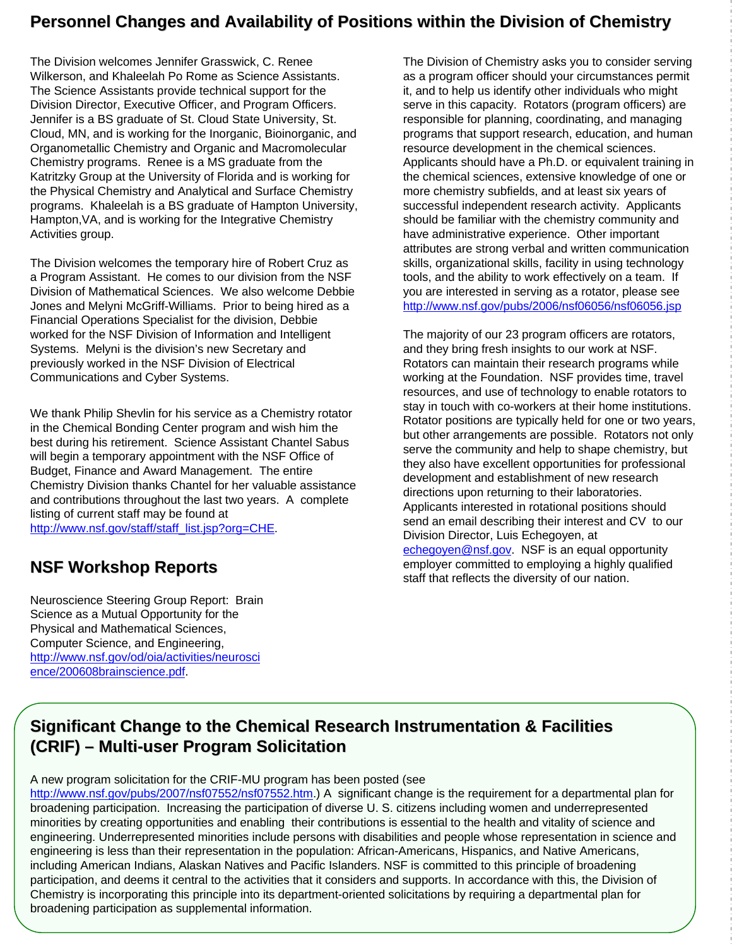#### **Personnel Changes and Availability Personnel Changes and Availability of Positions within the Divis of Positions within the Division of Chemistry f Chemistry**

The Division welcomes Jennifer Grasswick, C. Renee Wilkerson, and Khaleelah Po Rome as Science Assistants. The Science Assistants provide technical support for the Division Director, Executive Officer, and Program Officers. Jennifer is a BS graduate of St. Cloud State University, St. Cloud, MN, and is working for the Inorganic, Bioinorganic, and Organometallic Chemistry and Organic and Macromolecular Chemistry programs. Renee is a MS graduate from the Katritzky Group at the University of Florida and is working for the Physical Chemistry and Analytical and Surface Chemistry programs. Khaleelah is a BS graduate of Hampton University, Hampton,VA, and is working for the Integrative Chemistry Activities group.

The Division welcomes the temporary hire of Robert Cruz as a Program Assistant. He comes to our division from the NSF Division of Mathematical Sciences. We also welcome Debbie Jones and Melyni McGriff-Williams. Prior to being hired as a Financial Operations Specialist for the division, Debbie worked for the NSF Division of Information and Intelligent Systems. Melyni is the division's new Secretary and previously worked in the NSF Division of Electrical Communications and Cyber Systems.

We thank Philip Shevlin for his service as a Chemistry rotator in the Chemical Bonding Center program and wish him the best during his retirement. Science Assistant Chantel Sabus will begin a temporary appointment with the NSF Office of Budget, Finance and Award Management. The entire Chemistry Division thanks Chantel for her valuable assistance and contributions throughout the last two years. A complete listing of current staff may be found at [http://www.nsf.gov/staff/staff\\_list.jsp?org=CHE.](http://www.nsf.gov/staff/staff_list.jsp?org=CHE)

### **NSF Workshop Reports**

Neuroscience Steering Group Report: Brain Science as a Mutual Opportunity for the Physical and Mathematical Sciences, Computer Science, and Engineering, [http://www.nsf.gov/od/oia/activities/neurosc](http://www.nsf.gov/od/oia/activities/neuroscience/200608brainscience.pdf)i ence/200608brainscience.pdf.

The Division of Chemistry asks you to consider serving as a program officer should your circumstances permit it, and to help us identify other individuals who might serve in this capacity. Rotators (program officers) are responsible for planning, coordinating, and managing programs that support research, education, and human resource development in the chemical sciences. Applicants should have a Ph.D. or equivalent training in the chemical sciences, extensive knowledge of one or more chemistry subfields, and at least six years of successful independent research activity. Applicants should be familiar with the chemistry community and have administrative experience. Other important attributes are strong verbal and written communication skills, organizational skills, facility in using technology tools, and the ability to work effectively on a team. If you are interested in serving as a rotator, please see <http://www.nsf.gov/pubs/2006/nsf06056/nsf06056.jsp>

The majority of our 23 program officers are rotators, and they bring fresh insights to our work at NSF. Rotators can maintain their research programs while working at the Foundation. NSF provides time, travel resources, and use of technology to enable rotators to stay in touch with co-workers at their home institutions. Rotator positions are typically held for one or two years, but other arrangements are possible. Rotators not only serve the community and help to shape chemistry, but they also have excellent opportunities for professional development and establishment of new research directions upon returning to their laboratories. Applicants interested in rotational positions should send an email describing their interest and CV to our Division Director, Luis Echegoyen, at [echegoyen@nsf.gov.](mailto:echegoyen@nsf.gov) NSF is an equal opportunity employer committed to employing a highly qualified staff that reflects the diversity of our nation.

### **Significant Change to the Chemical Research Instrumentation & Facilities (CRIF)– Multi-user Program Solicitation user Program Solicitation**

#### A new program solicitation for the CRIF-MU program has been posted (see

<http://www.nsf.gov/pubs/2007/nsf07552/nsf07552.htm>.) A significant change is the requirement for a departmental plan for broadening participation. Increasing the participation of diverse U. S. citizens including women and underrepresented minorities by creating opportunities and enabling their contributions is essential to the health and vitality of science and engineering. Underrepresented minorities include persons with disabilities and people whose representation in science and engineering is less than their representation in the population: African-Americans, Hispanics, and Native Americans, including American Indians, Alaskan Natives and Pacific Islanders. NSF is committed to this principle of broadening participation, and deems it central to the activities that it considers and supports. In accordance with this, the Division of Chemistry is incorporating this principle into its department-oriented solicitations by requiring a departmental plan for broadening participation as supplemental information.